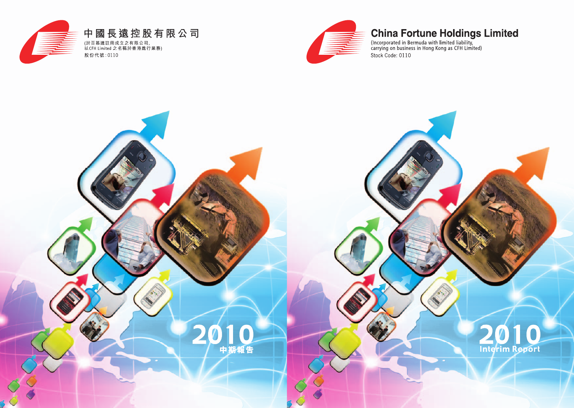

# **China Fortune Holdings Limited**

Interim Report

(Incorporated in Bermuda with limited liability,<br>carrying on business in Hong Kong as CFH Limited) Stock Code: 0110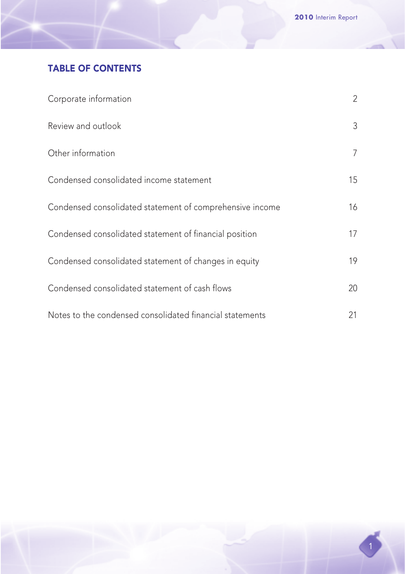# TABLE OF CONTENTS

| Corporate information                                    | $\overline{2}$ |
|----------------------------------------------------------|----------------|
| Review and outlook                                       | 3              |
| Other information                                        | 7              |
| Condensed consolidated income statement                  | 15             |
| Condensed consolidated statement of comprehensive income | 16             |
| Condensed consolidated statement of financial position   | 17             |
| Condensed consolidated statement of changes in equity    | 19             |
| Condensed consolidated statement of cash flows           | 20             |
| Notes to the condensed consolidated financial statements | 21             |

1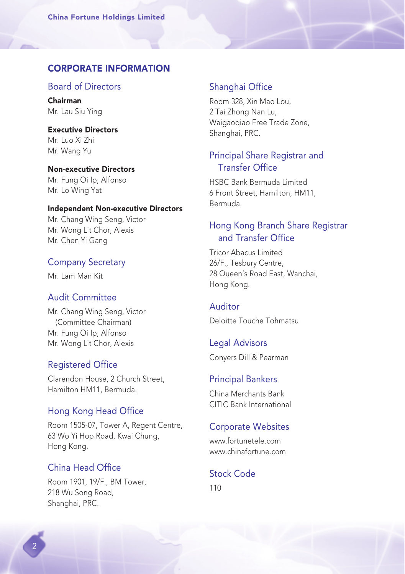# CORPORATE INFORMATION

#### Board of Directors

Chairman Mr. Lau Siu Ying

Executive Directors Mr. Luo Xi Zhi Mr. Wang Yu

Non-executive Directors Mr. Fung Oi Ip, Alfonso Mr. Lo Wing Yat

#### Independent Non-executive Directors

Mr. Chang Wing Seng, Victor Mr. Wong Lit Chor, Alexis Mr. Chen Yi Gang

#### Company Secretary

Mr. Lam Man Kit

#### Audit Committee

Mr. Chang Wing Seng, Victor (Committee Chairman) Mr. Fung Oi Ip, Alfonso Mr. Wong Lit Chor, Alexis

#### Registered Office

Clarendon House, 2 Church Street, Hamilton HM11, Bermuda.

#### Hong Kong Head Office

Room 1505-07, Tower A, Regent Centre, 63 Wo Yi Hop Road, Kwai Chung, Hong Kong.

# China Head Office

Room 1901, 19/F., BM Tower, 218 Wu Song Road, Shanghai, PRC.

### Shanghai Office

Room 328, Xin Mao Lou, 2 Tai Zhong Nan Lu, Waigaoqiao Free Trade Zone, Shanghai, PRC.

# Principal Share Registrar and Transfer Office

HSBC Bank Bermuda Limited 6 Front Street, Hamilton, HM11, Bermuda.

# Hong Kong Branch Share Registrar and Transfer Office

Tricor Abacus Limited 26/F., Tesbury Centre, 28 Queen's Road East, Wanchai, Hong Kong.

#### Auditor

Deloitte Touche Tohmatsu

# Legal Advisors

Conyers Dill & Pearman

#### Principal Bankers

China Merchants Bank CITIC Bank International

# Corporate Websites

www.fortunetele.com www.chinafortune.com

# Stock Code

110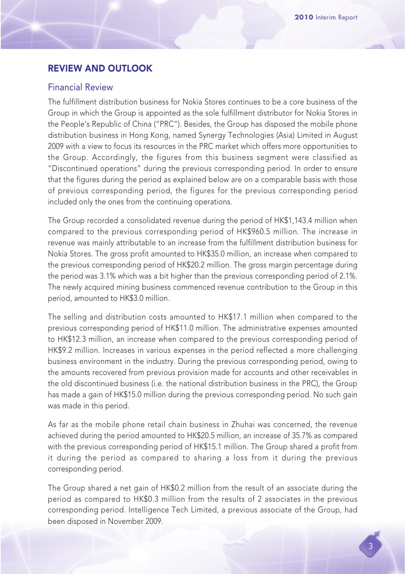# REVIEW AND OUTLOOK

#### Financial Review

The fulfillment distribution business for Nokia Stores continues to be a core business of the Group in which the Group is appointed as the sole fulfillment distributor for Nokia Stores in the People's Republic of China ("PRC"). Besides, the Group has disposed the mobile phone distribution business in Hong Kong, named Synergy Technologies (Asia) Limited in August 2009 with a view to focus its resources in the PRC market which offers more opportunities to the Group. Accordingly, the figures from this business segment were classified as "Discontinued operations" during the previous corresponding period. In order to ensure that the figures during the period as explained below are on a comparable basis with those of previous corresponding period, the figures for the previous corresponding period included only the ones from the continuing operations.

The Group recorded a consolidated revenue during the period of HK\$1,143.4 million when compared to the previous corresponding period of HK\$960.5 million. The increase in revenue was mainly attributable to an increase from the fulfillment distribution business for Nokia Stores. The gross profit amounted to HK\$35.0 million, an increase when compared to the previous corresponding period of HK\$20.2 million. The gross margin percentage during the period was 3.1% which was a bit higher than the previous corresponding period of 2.1%. The newly acquired mining business commenced revenue contribution to the Group in this period, amounted to HK\$3.0 million.

The selling and distribution costs amounted to HK\$17.1 million when compared to the previous corresponding period of HK\$11.0 million. The administrative expenses amounted to HK\$12.3 million, an increase when compared to the previous corresponding period of HK\$9.2 million. Increases in various expenses in the period reflected a more challenging business environment in the industry. During the previous corresponding period, owing to the amounts recovered from previous provision made for accounts and other receivables in the old discontinued business (i.e. the national distribution business in the PRC), the Group has made a gain of HK\$15.0 million during the previous corresponding period. No such gain was made in this period.

As far as the mobile phone retail chain business in Zhuhai was concerned, the revenue achieved during the period amounted to HK\$20.5 million, an increase of 35.7% as compared with the previous corresponding period of HK\$15.1 million. The Group shared a profit from it during the period as compared to sharing a loss from it during the previous corresponding period.

The Group shared a net gain of HK\$0.2 million from the result of an associate during the period as compared to HK\$0.3 million from the results of 2 associates in the previous corresponding period. Intelligence Tech Limited, a previous associate of the Group, had been disposed in November 2009.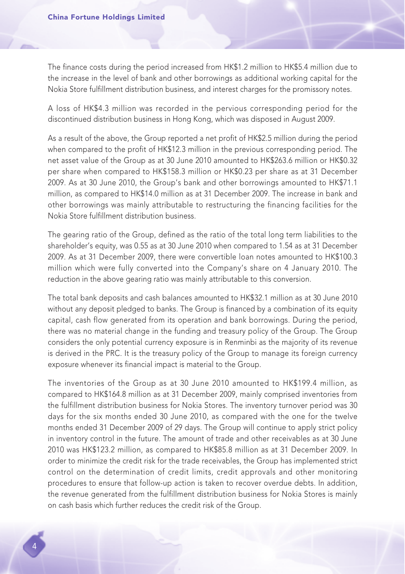The finance costs during the period increased from HK\$1.2 million to HK\$5.4 million due to the increase in the level of bank and other borrowings as additional working capital for the Nokia Store fulfillment distribution business, and interest charges for the promissory notes.

A loss of HK\$4.3 million was recorded in the pervious corresponding period for the discontinued distribution business in Hong Kong, which was disposed in August 2009.

As a result of the above, the Group reported a net profit of HK\$2.5 million during the period when compared to the profit of HK\$12.3 million in the previous corresponding period. The net asset value of the Group as at 30 June 2010 amounted to HK\$263.6 million or HK\$0.32 per share when compared to HK\$158.3 million or HK\$0.23 per share as at 31 December 2009. As at 30 June 2010, the Group's bank and other borrowings amounted to HK\$71.1 million, as compared to HK\$14.0 million as at 31 December 2009. The increase in bank and other borrowings was mainly attributable to restructuring the financing facilities for the Nokia Store fulfillment distribution business.

The gearing ratio of the Group, defined as the ratio of the total long term liabilities to the shareholder's equity, was 0.55 as at 30 June 2010 when compared to 1.54 as at 31 December 2009. As at 31 December 2009, there were convertible loan notes amounted to HK\$100.3 million which were fully converted into the Company's share on 4 January 2010. The reduction in the above gearing ratio was mainly attributable to this conversion.

The total bank deposits and cash balances amounted to HK\$32.1 million as at 30 June 2010 without any deposit pledged to banks. The Group is financed by a combination of its equity capital, cash flow generated from its operation and bank borrowings. During the period, there was no material change in the funding and treasury policy of the Group. The Group considers the only potential currency exposure is in Renminbi as the majority of its revenue is derived in the PRC. It is the treasury policy of the Group to manage its foreign currency exposure whenever its financial impact is material to the Group.

The inventories of the Group as at 30 June 2010 amounted to HK\$199.4 million, as compared to HK\$164.8 million as at 31 December 2009, mainly comprised inventories from the fulfillment distribution business for Nokia Stores. The inventory turnover period was 30 days for the six months ended 30 June 2010, as compared with the one for the twelve months ended 31 December 2009 of 29 days. The Group will continue to apply strict policy in inventory control in the future. The amount of trade and other receivables as at 30 June 2010 was HK\$123.2 million, as compared to HK\$85.8 million as at 31 December 2009. In order to minimize the credit risk for the trade receivables, the Group has implemented strict control on the determination of credit limits, credit approvals and other monitoring procedures to ensure that follow-up action is taken to recover overdue debts. In addition, the revenue generated from the fulfillment distribution business for Nokia Stores is mainly on cash basis which further reduces the credit risk of the Group.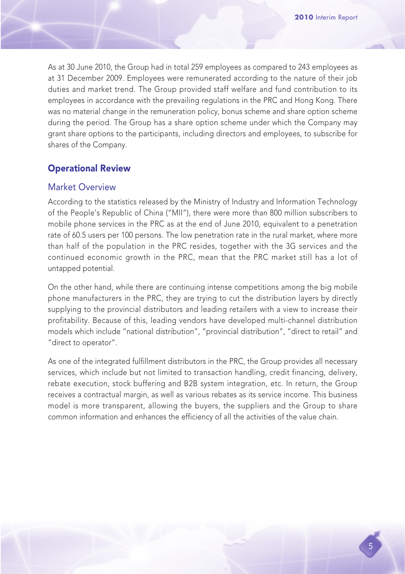As at 30 June 2010, the Group had in total 259 employees as compared to 243 employees as at 31 December 2009. Employees were remunerated according to the nature of their job duties and market trend. The Group provided staff welfare and fund contribution to its employees in accordance with the prevailing regulations in the PRC and Hong Kong. There was no material change in the remuneration policy, bonus scheme and share option scheme during the period. The Group has a share option scheme under which the Company may grant share options to the participants, including directors and employees, to subscribe for shares of the Company.

# Operational Review

## Market Overview

According to the statistics released by the Ministry of Industry and Information Technology of the People's Republic of China ("MII"), there were more than 800 million subscribers to mobile phone services in the PRC as at the end of June 2010, equivalent to a penetration rate of 60.5 users per 100 persons. The low penetration rate in the rural market, where more than half of the population in the PRC resides, together with the 3G services and the continued economic growth in the PRC, mean that the PRC market still has a lot of untapped potential.

On the other hand, while there are continuing intense competitions among the big mobile phone manufacturers in the PRC, they are trying to cut the distribution layers by directly supplying to the provincial distributors and leading retailers with a view to increase their profitability. Because of this, leading vendors have developed multi-channel distribution models which include "national distribution", "provincial distribution", "direct to retail" and "direct to operator".

As one of the integrated fulfillment distributors in the PRC, the Group provides all necessary services, which include but not limited to transaction handling, credit financing, delivery, rebate execution, stock buffering and B2B system integration, etc. In return, the Group receives a contractual margin, as well as various rebates as its service income. This business model is more transparent, allowing the buyers, the suppliers and the Group to share common information and enhances the efficiency of all the activities of the value chain.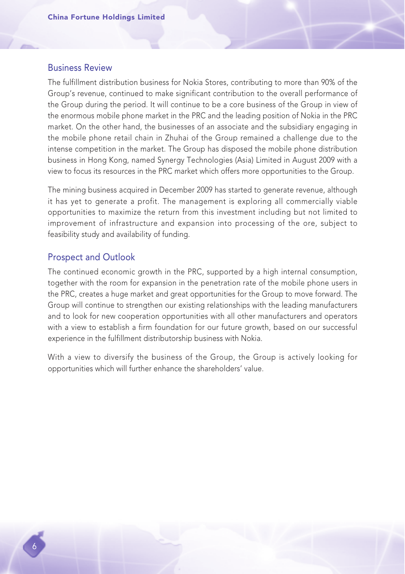#### Business Review

The fulfillment distribution business for Nokia Stores, contributing to more than 90% of the Group's revenue, continued to make significant contribution to the overall performance of the Group during the period. It will continue to be a core business of the Group in view of the enormous mobile phone market in the PRC and the leading position of Nokia in the PRC market. On the other hand, the businesses of an associate and the subsidiary engaging in the mobile phone retail chain in Zhuhai of the Group remained a challenge due to the intense competition in the market. The Group has disposed the mobile phone distribution business in Hong Kong, named Synergy Technologies (Asia) Limited in August 2009 with a view to focus its resources in the PRC market which offers more opportunities to the Group.

The mining business acquired in December 2009 has started to generate revenue, although it has yet to generate a profit. The management is exploring all commercially viable opportunities to maximize the return from this investment including but not limited to improvement of infrastructure and expansion into processing of the ore, subject to feasibility study and availability of funding.

#### Prospect and Outlook

The continued economic growth in the PRC, supported by a high internal consumption, together with the room for expansion in the penetration rate of the mobile phone users in the PRC, creates a huge market and great opportunities for the Group to move forward. The Group will continue to strengthen our existing relationships with the leading manufacturers and to look for new cooperation opportunities with all other manufacturers and operators with a view to establish a firm foundation for our future growth, based on our successful experience in the fulfillment distributorship business with Nokia.

With a view to diversify the business of the Group, the Group is actively looking for opportunities which will further enhance the shareholders' value.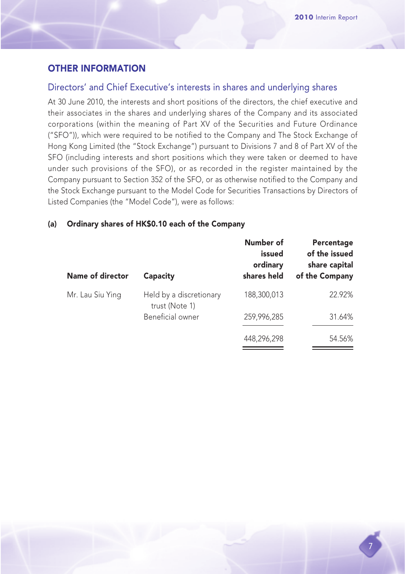# OTHER INFORMATION

## Directors' and Chief Executive's interests in shares and underlying shares

At 30 June 2010, the interests and short positions of the directors, the chief executive and their associates in the shares and underlying shares of the Company and its associated corporations (within the meaning of Part XV of the Securities and Future Ordinance ("SFO")), which were required to be notified to the Company and The Stock Exchange of Hong Kong Limited (the "Stock Exchange") pursuant to Divisions 7 and 8 of Part XV of the SFO (including interests and short positions which they were taken or deemed to have under such provisions of the SFO), or as recorded in the register maintained by the Company pursuant to Section 352 of the SFO, or as otherwise notified to the Company and the Stock Exchange pursuant to the Model Code for Securities Transactions by Directors of Listed Companies (the "Model Code"), were as follows:

#### (a) Ordinary shares of HK\$0.10 each of the Company

| Name of director | Capacity                                  | Number of<br>issued<br>ordinary<br>shares held | Percentage<br>of the issued<br>share capital<br>of the Company |
|------------------|-------------------------------------------|------------------------------------------------|----------------------------------------------------------------|
| Mr. Lau Siu Ying | Held by a discretionary<br>trust (Note 1) | 188,300,013                                    | 22.92%                                                         |
|                  | Beneficial owner                          | 259.996.285                                    | 31.64%                                                         |
|                  |                                           | 448,296,298                                    | 54.56%                                                         |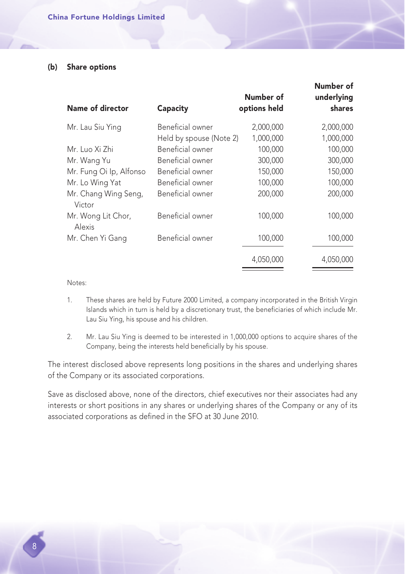#### (b) Share options

| Name of director               | Capacity                | Number of<br>options held | Number of<br>underlying<br>shares |
|--------------------------------|-------------------------|---------------------------|-----------------------------------|
| Mr. Lau Siu Ying               | Beneficial owner        | 2,000,000                 | 2,000,000                         |
|                                | Held by spouse (Note 2) | 1,000,000                 | 1,000,000                         |
| Mr. Luo Xi Zhi                 | Beneficial owner        | 100,000                   | 100,000                           |
| Mr. Wang Yu                    | Beneficial owner        | 300,000                   | 300,000                           |
| Mr. Fung Oi Ip, Alfonso        | Beneficial owner        | 150,000                   | 150,000                           |
| Mr. Lo Wing Yat                | Beneficial owner        | 100,000                   | 100,000                           |
| Mr. Chang Wing Seng,<br>Victor | Beneficial owner        | 200,000                   | 200,000                           |
| Mr. Wong Lit Chor,<br>Alexis   | Beneficial owner        | 100,000                   | 100,000                           |
| Mr. Chen Yi Gang               | Beneficial owner        | 100,000                   | 100,000                           |
|                                |                         | 4,050,000                 | 4,050,000                         |

Notes:

- 1. These shares are held by Future 2000 Limited, a company incorporated in the British Virgin Islands which in turn is held by a discretionary trust, the beneficiaries of which include Mr. Lau Siu Ying, his spouse and his children.
- 2. Mr. Lau Siu Ying is deemed to be interested in 1,000,000 options to acquire shares of the Company, being the interests held beneficially by his spouse.

The interest disclosed above represents long positions in the shares and underlying shares of the Company or its associated corporations.

Save as disclosed above, none of the directors, chief executives nor their associates had any interests or short positions in any shares or underlying shares of the Company or any of its associated corporations as defined in the SFO at 30 June 2010.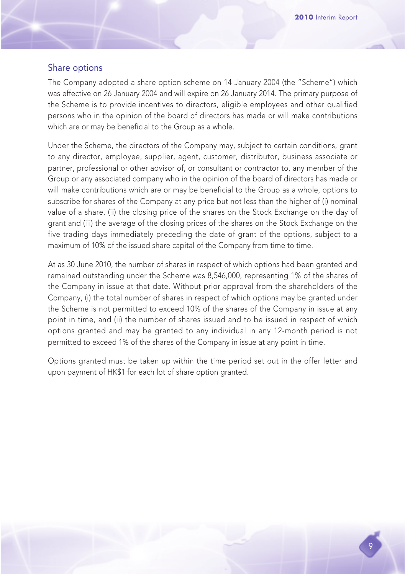#### Share options

The Company adopted a share option scheme on 14 January 2004 (the "Scheme") which was effective on 26 January 2004 and will expire on 26 January 2014. The primary purpose of the Scheme is to provide incentives to directors, eligible employees and other qualified persons who in the opinion of the board of directors has made or will make contributions which are or may be beneficial to the Group as a whole.

Under the Scheme, the directors of the Company may, subject to certain conditions, grant to any director, employee, supplier, agent, customer, distributor, business associate or partner, professional or other advisor of, or consultant or contractor to, any member of the Group or any associated company who in the opinion of the board of directors has made or will make contributions which are or may be beneficial to the Group as a whole, options to subscribe for shares of the Company at any price but not less than the higher of (i) nominal value of a share, (ii) the closing price of the shares on the Stock Exchange on the day of grant and (iii) the average of the closing prices of the shares on the Stock Exchange on the five trading days immediately preceding the date of grant of the options, subject to a maximum of 10% of the issued share capital of the Company from time to time.

At as 30 June 2010, the number of shares in respect of which options had been granted and remained outstanding under the Scheme was 8,546,000, representing 1% of the shares of the Company in issue at that date. Without prior approval from the shareholders of the Company, (i) the total number of shares in respect of which options may be granted under the Scheme is not permitted to exceed 10% of the shares of the Company in issue at any point in time, and (ii) the number of shares issued and to be issued in respect of which options granted and may be granted to any individual in any 12-month period is not permitted to exceed 1% of the shares of the Company in issue at any point in time.

Options granted must be taken up within the time period set out in the offer letter and upon payment of HK\$1 for each lot of share option granted.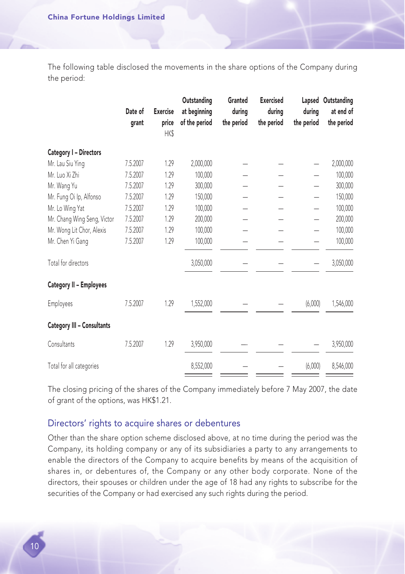The following table disclosed the movements in the share options of the Company during the period:

|                                   | Date of<br>grant | <b>Exercise</b><br>price<br><b>HK\$</b> | Outstanding<br>at beginning<br>of the period | Granted<br>during<br>the period | <b>Exercised</b><br>during<br>the period | during<br>the period | Lapsed Outstanding<br>at end of<br>the period |
|-----------------------------------|------------------|-----------------------------------------|----------------------------------------------|---------------------------------|------------------------------------------|----------------------|-----------------------------------------------|
| <b>Category I - Directors</b>     |                  |                                         |                                              |                                 |                                          |                      |                                               |
| Mr. Lau Siu Ying                  | 7.5.2007         | 1.29                                    | 2,000,000                                    |                                 |                                          | —                    | 2,000,000                                     |
| Mr. Luo Xi Zhi                    | 7.5.2007         | 1.29                                    | 100,000                                      |                                 |                                          |                      | 100,000                                       |
| Mr. Wang Yu                       | 7.5.2007         | 1.29                                    | 300,000                                      |                                 |                                          |                      | 300,000                                       |
| Mr. Fung Oi Ip, Alfonso           | 7.5.2007         | 1.29                                    | 150,000                                      |                                 |                                          |                      | 150,000                                       |
| Mr. Lo Wing Yat                   | 7.5.2007         | 1.29                                    | 100,000                                      |                                 |                                          |                      | 100,000                                       |
| Mr. Chang Wing Seng, Victor       | 7.5.2007         | 1.29                                    | 200,000                                      |                                 |                                          |                      | 200,000                                       |
| Mr. Wong Lit Chor, Alexis         | 7.5.2007         | 1.29                                    | 100,000                                      |                                 |                                          |                      | 100,000                                       |
| Mr. Chen Yi Gang                  | 7.5.2007         | 1.29                                    | 100,000                                      |                                 |                                          |                      | 100,000                                       |
| Total for directors               |                  |                                         | 3,050,000                                    |                                 |                                          |                      | 3,050,000                                     |
| <b>Category II - Employees</b>    |                  |                                         |                                              |                                 |                                          |                      |                                               |
| Employees                         | 7.5.2007         | 1.29                                    | 1,552,000                                    |                                 |                                          | (6,000)              | 1,546,000                                     |
| <b>Category III - Consultants</b> |                  |                                         |                                              |                                 |                                          |                      |                                               |
| Consultants                       | 7.5.2007         | 1.29                                    | 3,950,000                                    |                                 |                                          |                      | 3,950,000                                     |
| Total for all categories          |                  |                                         | 8,552,000                                    |                                 |                                          | (6,000)              | 8,546,000                                     |

The closing pricing of the shares of the Company immediately before 7 May 2007, the date of grant of the options, was HK\$1.21.

# Directors' rights to acquire shares or debentures

Other than the share option scheme disclosed above, at no time during the period was the Company, its holding company or any of its subsidiaries a party to any arrangements to enable the directors of the Company to acquire benefits by means of the acquisition of shares in, or debentures of, the Company or any other body corporate. None of the directors, their spouses or children under the age of 18 had any rights to subscribe for the securities of the Company or had exercised any such rights during the period.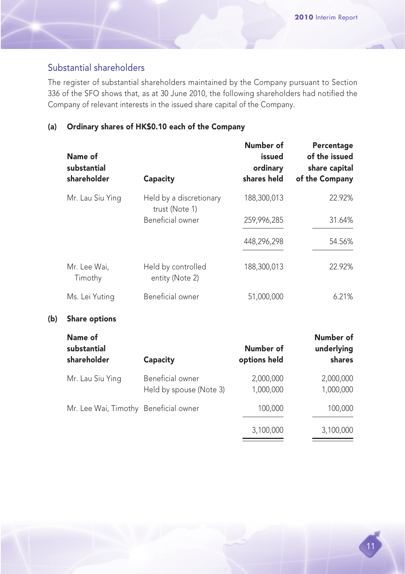# Substantial shareholders

 $(b)$ 

The register of substantial shareholders maintained by the Company pursuant to Section 336 of the SFO shows that, as at 30 June 2010, the following shareholders had notified the Company of relevant interests in the issued share capital of the Company.

# (a) Ordinary shares of HK\$0.10 each of the Company

| Name of<br>substantial<br>shareholder | Capacity                                    | Number of<br>issued<br>ordinary<br>shares held | Percentage<br>of the issued<br>share capital<br>of the Company |
|---------------------------------------|---------------------------------------------|------------------------------------------------|----------------------------------------------------------------|
| Mr. Lau Siu Ying                      | Held by a discretionary<br>trust (Note 1)   | 188,300,013                                    | 22.92%                                                         |
|                                       | Beneficial owner                            | 259,996,285                                    | 31.64%                                                         |
|                                       |                                             | 448,296,298                                    | 54.56%                                                         |
| Mr. Lee Wai,<br>Timothy               | Held by controlled<br>entity (Note 2)       | 188,300,013                                    | 22.92%                                                         |
| Ms. Lei Yuting                        | Beneficial owner                            | 51,000,000                                     | 6.21%                                                          |
| <b>Share options</b>                  |                                             |                                                |                                                                |
| Name of<br>substantial<br>shareholder | Capacity                                    | Number of<br>options held                      | Number of<br>underlying<br>shares                              |
| Mr. Lau Siu Ying                      | Beneficial owner<br>Held by spouse (Note 3) | 2,000,000<br>1,000,000                         | 2,000,000<br>1,000,000                                         |
| Mr. Lee Wai, Timothy Beneficial owner |                                             | 100,000                                        | 100,000                                                        |
|                                       |                                             | 3,100,000                                      | 3,100,000                                                      |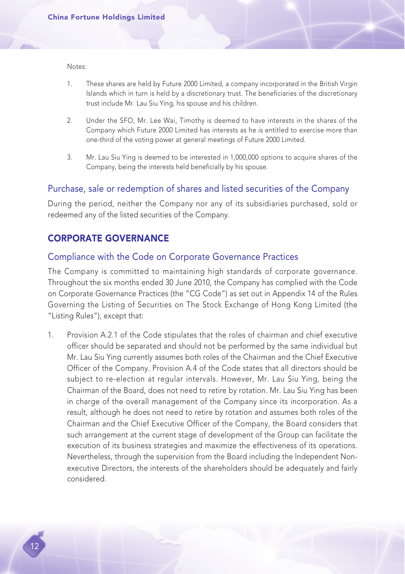Notes:

- 1. These shares are held by Future 2000 Limited, a company incorporated in the British Virgin Islands which in turn is held by a discretionary trust. The beneficiaries of the discretionary trust include Mr. Lau Siu Ying, his spouse and his children.
- 2. Under the SFO, Mr. Lee Wai, Timothy is deemed to have interests in the shares of the Company which Future 2000 Limited has interests as he is entitled to exercise more than one-third of the voting power at general meetings of Future 2000 Limited.
- 3. Mr. Lau Siu Ying is deemed to be interested in 1,000,000 options to acquire shares of the Company, being the interests held beneficially by his spouse.

## Purchase, sale or redemption of shares and listed securities of the Company

During the period, neither the Company nor any of its subsidiaries purchased, sold or redeemed any of the listed securities of the Company.

# CORPORATE GOVERNANCE

#### Compliance with the Code on Corporate Governance Practices

The Company is committed to maintaining high standards of corporate governance. Throughout the six months ended 30 June 2010, the Company has complied with the Code on Corporate Governance Practices (the "CG Code") as set out in Appendix 14 of the Rules Governing the Listing of Securities on The Stock Exchange of Hong Kong Limited (the "Listing Rules"), except that:

1. Provision A.2.1 of the Code stipulates that the roles of chairman and chief executive officer should be separated and should not be performed by the same individual but Mr. Lau Siu Ying currently assumes both roles of the Chairman and the Chief Executive Officer of the Company. Provision A.4 of the Code states that all directors should be subject to re-election at regular intervals. However, Mr. Lau Siu Ying, being the Chairman of the Board, does not need to retire by rotation. Mr. Lau Siu Ying has been in charge of the overall management of the Company since its incorporation. As a result, although he does not need to retire by rotation and assumes both roles of the Chairman and the Chief Executive Officer of the Company, the Board considers that such arrangement at the current stage of development of the Group can facilitate the execution of its business strategies and maximize the effectiveness of its operations. Nevertheless, through the supervision from the Board including the Independent Nonexecutive Directors, the interests of the shareholders should be adequately and fairly considered.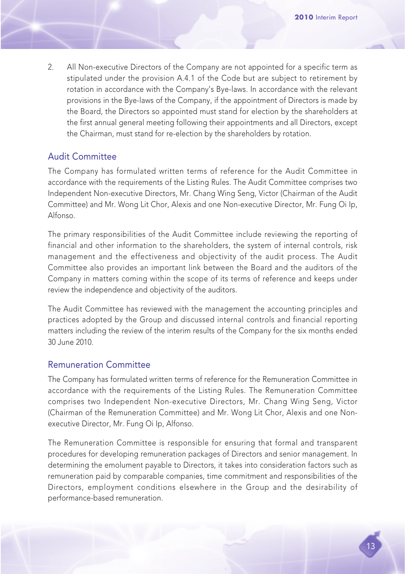2. All Non-executive Directors of the Company are not appointed for a specific term as stipulated under the provision A.4.1 of the Code but are subject to retirement by rotation in accordance with the Company's Bye-laws. In accordance with the relevant provisions in the Bye-laws of the Company, if the appointment of Directors is made by the Board, the Directors so appointed must stand for election by the shareholders at the first annual general meeting following their appointments and all Directors, except the Chairman, must stand for re-election by the shareholders by rotation.

# Audit Committee

The Company has formulated written terms of reference for the Audit Committee in accordance with the requirements of the Listing Rules. The Audit Committee comprises two Independent Non-executive Directors, Mr. Chang Wing Seng, Victor (Chairman of the Audit Committee) and Mr. Wong Lit Chor, Alexis and one Non-executive Director, Mr. Fung Oi Ip, Alfonso.

The primary responsibilities of the Audit Committee include reviewing the reporting of financial and other information to the shareholders, the system of internal controls, risk management and the effectiveness and objectivity of the audit process. The Audit Committee also provides an important link between the Board and the auditors of the Company in matters coming within the scope of its terms of reference and keeps under review the independence and objectivity of the auditors.

The Audit Committee has reviewed with the management the accounting principles and practices adopted by the Group and discussed internal controls and financial reporting matters including the review of the interim results of the Company for the six months ended 30 June 2010.

# Remuneration Committee

The Company has formulated written terms of reference for the Remuneration Committee in accordance with the requirements of the Listing Rules. The Remuneration Committee comprises two Independent Non-executive Directors, Mr. Chang Wing Seng, Victor (Chairman of the Remuneration Committee) and Mr. Wong Lit Chor, Alexis and one Nonexecutive Director, Mr. Fung Oi Ip, Alfonso.

The Remuneration Committee is responsible for ensuring that formal and transparent procedures for developing remuneration packages of Directors and senior management. In determining the emolument payable to Directors, it takes into consideration factors such as remuneration paid by comparable companies, time commitment and responsibilities of the Directors, employment conditions elsewhere in the Group and the desirability of performance-based remuneration.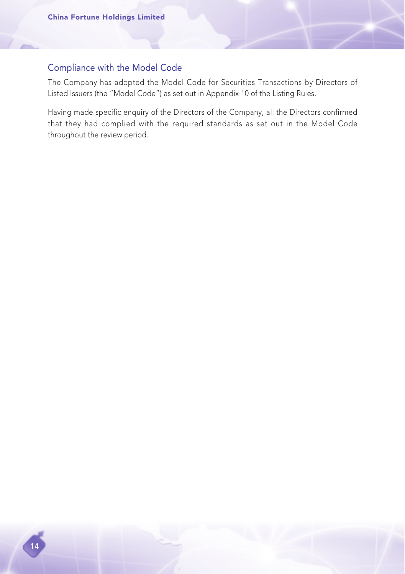# Compliance with the Model Code

The Company has adopted the Model Code for Securities Transactions by Directors of Listed Issuers (the "Model Code") as set out in Appendix 10 of the Listing Rules.

Having made specific enquiry of the Directors of the Company, all the Directors confirmed that they had complied with the required standards as set out in the Model Code throughout the review period.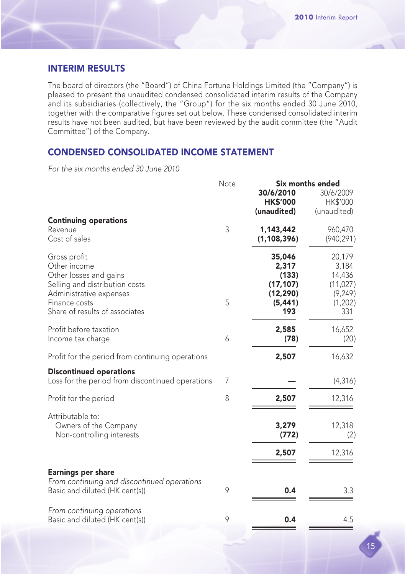# INTERIM RESULTS

The board of directors (the "Board") of China Fortune Holdings Limited (the "Company") is pleased to present the unaudited condensed consolidated interim results of the Company and its subsidiaries (collectively, the "Group") for the six months ended 30 June 2010, together with the comparative figures set out below. These condensed consolidated interim results have not been audited, but have been reviewed by the audit committee (the "Audit Committee") of the Company.

## CONDENSED CONSOLIDATED INCOME STATEMENT

For the six months ended 30 June 2010

|                                                                                                                                                                        | Note<br>Six months ended |                                                                       |                                                                      |
|------------------------------------------------------------------------------------------------------------------------------------------------------------------------|--------------------------|-----------------------------------------------------------------------|----------------------------------------------------------------------|
|                                                                                                                                                                        |                          | 30/6/2010<br><b>HK\$'000</b><br>(unaudited)                           | 30/6/2009<br>HK\$'000<br>(unaudited)                                 |
| <b>Continuing operations</b><br>Revenue<br>Cost of sales                                                                                                               | 3                        | 1,143,442<br>(1, 108, 396)                                            | 960,470<br>(940, 291)                                                |
| Gross profit<br>Other income<br>Other losses and gains<br>Selling and distribution costs<br>Administrative expenses<br>Finance costs<br>Share of results of associates | 5                        | 35,046<br>2,317<br>(133)<br>(17, 107)<br>(12, 290)<br>(5, 441)<br>193 | 20,179<br>3,184<br>14,436<br>(11, 027)<br>(9, 249)<br>(1,202)<br>331 |
| Profit before taxation<br>Income tax charge                                                                                                                            | 6                        | 2,585<br>(78)                                                         | 16,652<br>(20)                                                       |
| Profit for the period from continuing operations                                                                                                                       |                          | 2,507                                                                 | 16,632                                                               |
| <b>Discontinued operations</b><br>Loss for the period from discontinued operations                                                                                     | 7                        |                                                                       | (4, 316)                                                             |
| Profit for the period                                                                                                                                                  | 8                        | 2,507                                                                 | 12,316                                                               |
| Attributable to:<br>Owners of the Company<br>Non-controlling interests                                                                                                 |                          | 3,279<br>(772)<br>2,507                                               | 12,318<br>(2)<br>12,316                                              |
|                                                                                                                                                                        |                          |                                                                       |                                                                      |
| <b>Earnings per share</b><br>From continuing and discontinued operations<br>Basic and diluted (HK cent(s))                                                             | 9                        | 0.4                                                                   | 3.3                                                                  |
| From continuing operations<br>Basic and diluted (HK cent(s))                                                                                                           | 9                        | 0.4                                                                   | 4.5                                                                  |

15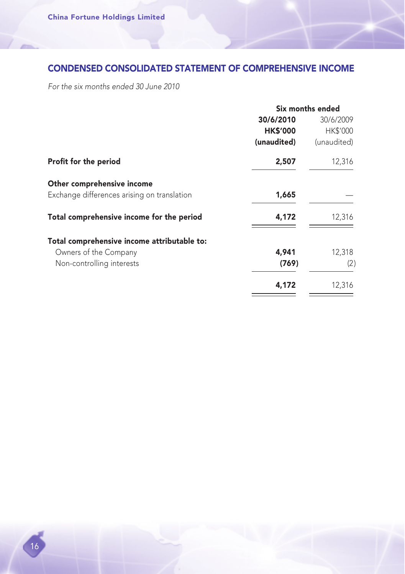# CONDENSED CONSOLIDATED STATEMENT OF COMPREHENSIVE INCOME

For the six months ended 30 June 2010

|                                             |                        | Six months ended |  |
|---------------------------------------------|------------------------|------------------|--|
|                                             | 30/6/2010<br>30/6/2009 |                  |  |
|                                             | <b>HK\$'000</b>        | <b>HK\$'000</b>  |  |
|                                             | (unaudited)            | (unaudited)      |  |
| Profit for the period                       | 2,507                  | 12,316           |  |
| Other comprehensive income                  |                        |                  |  |
| Exchange differences arising on translation | 1,665                  |                  |  |
| Total comprehensive income for the period   | 4,172                  | 12,316           |  |
| Total comprehensive income attributable to: |                        |                  |  |
| Owners of the Company                       | 4,941                  | 12,318           |  |
| Non-controlling interests                   | (769)                  | (2)              |  |
|                                             | 4,172                  | 12,316           |  |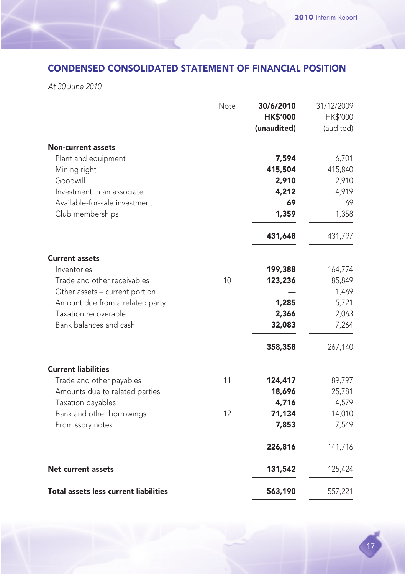# CONDENSED CONSOLIDATED STATEMENT OF FINANCIAL POSITION

At 30 June 2010

|                                       | Note | 30/6/2010       | 31/12/2009 |
|---------------------------------------|------|-----------------|------------|
|                                       |      | <b>HK\$'000</b> | HK\$'000   |
|                                       |      | (unaudited)     | (audited)  |
| <b>Non-current assets</b>             |      |                 |            |
| Plant and equipment                   |      | 7,594           | 6,701      |
| Mining right                          |      | 415,504         | 415,840    |
| Goodwill                              |      | 2,910           | 2,910      |
| Investment in an associate            |      | 4,212           | 4,919      |
| Available-for-sale investment         |      | 69              | 69         |
| Club memberships                      |      | 1,359           | 1,358      |
|                                       |      | 431,648         | 431,797    |
| <b>Current assets</b>                 |      |                 |            |
| Inventories                           |      | 199,388         | 164,774    |
| Trade and other receivables           | 10   | 123,236         | 85,849     |
| Other assets - current portion        |      |                 | 1,469      |
| Amount due from a related party       |      | 1,285           | 5,721      |
| Taxation recoverable                  |      | 2,366           | 2,063      |
| Bank balances and cash                |      | 32,083          | 7,264      |
|                                       |      | 358,358         | 267,140    |
| <b>Current liabilities</b>            |      |                 |            |
| Trade and other payables              | 11   | 124,417         | 89,797     |
| Amounts due to related parties        |      | 18,696          | 25,781     |
| Taxation payables                     |      | 4,716           | 4,579      |
| Bank and other borrowings             | 12   | 71,134          | 14,010     |
| Promissory notes                      |      | 7,853           | 7,549      |
|                                       |      | 226,816         | 141,716    |
| Net current assets                    |      | 131,542         | 125,424    |
| Total assets less current liabilities |      | 563,190         | 557,221    |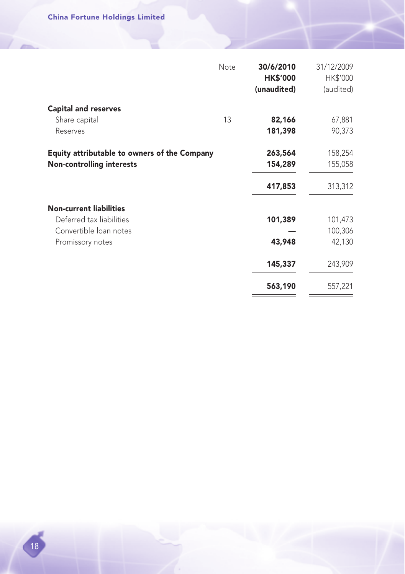|                                                     | Note | 30/6/2010<br><b>HK\$'000</b><br>(unaudited) | 31/12/2009<br>HK\$'000<br>(audited) |
|-----------------------------------------------------|------|---------------------------------------------|-------------------------------------|
| <b>Capital and reserves</b>                         |      |                                             |                                     |
| Share capital                                       | 13   | 82,166                                      | 67,881                              |
| Reserves                                            |      | 181,398                                     | 90,373                              |
| <b>Equity attributable to owners of the Company</b> |      | 263,564                                     | 158,254                             |
| <b>Non-controlling interests</b>                    |      | 154,289                                     | 155,058                             |
|                                                     |      | 417,853                                     | 313,312                             |
| <b>Non-current liabilities</b>                      |      |                                             |                                     |
| Deferred tax liabilities                            |      | 101,389                                     | 101,473                             |
| Convertible loan notes                              |      |                                             | 100,306                             |
| Promissory notes                                    |      | 43,948                                      | 42,130                              |
|                                                     |      | 145,337                                     | 243,909                             |
|                                                     |      | 563,190                                     | 557,221                             |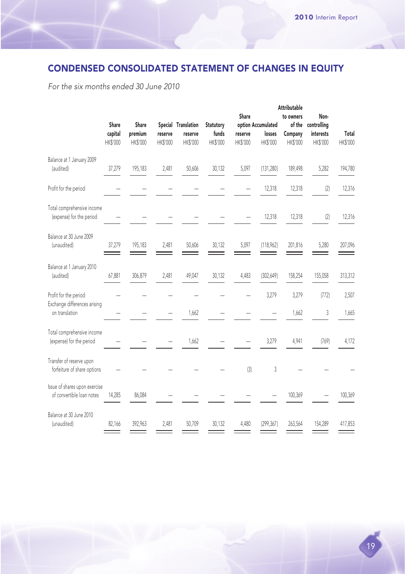# CONDENSED CONSOLIDATED STATEMENT OF CHANGES IN EQUITY

For the six months ended 30 June 2010

|                                                            | Share<br>capital<br>HK\$'000 | Share<br>premium<br>HK\$'000 | reserve<br>HK\$'000 | Special Translation<br>reserve<br>HK\$'000 | Statutory<br>funds<br>HK\$'000 | Share<br>reserve<br>HK\$'000 | option Accumulated<br>losses<br>HK\$'000 | <b>Attributable</b><br>to owners<br>of the<br>Company<br>HK\$'000 | Non-<br>controlling<br>interests<br>HK\$'000 | Total<br>HK\$'000 |
|------------------------------------------------------------|------------------------------|------------------------------|---------------------|--------------------------------------------|--------------------------------|------------------------------|------------------------------------------|-------------------------------------------------------------------|----------------------------------------------|-------------------|
| Balance at 1 January 2009<br>(audited)                     | 37,279                       | 195,183                      | 2,481               | 50,606                                     | 30,132                         | 5,097                        | (131, 280)                               | 189,498                                                           | 5,282                                        | 194,780           |
| Profit for the period                                      |                              |                              |                     |                                            |                                |                              | 12,318                                   | 12,318                                                            | (2)                                          | 12,316            |
| Total comprehensive income<br>(expense) for the period     |                              |                              |                     |                                            |                                |                              | 12,318                                   | 12,318                                                            | (2)                                          | 12,316            |
| Balance at 30 June 2009<br>(unaudited)                     | 37,279                       | 195,183                      | 2,481               | 50,606                                     | 30,132                         | 5,097                        | (118,962)                                | 201,816                                                           | 5,280                                        | 207,096           |
| Balance at 1 January 2010<br>(audited)                     | 67,881                       | 306,879                      | 2,481               | 49,047                                     | 30,132                         | 4,483                        | (302, 649)                               | 158,254                                                           | 155,058                                      | 313,312           |
| Profit for the period                                      |                              |                              |                     |                                            |                                |                              | 3,279                                    | 3,279                                                             | (772)                                        | 2,507             |
| Exchange differences arising<br>on translation             |                              |                              |                     | 1,662                                      |                                |                              |                                          | 1,662                                                             | 3                                            | 1,665             |
| Total comprehensive income<br>(expense) for the period     |                              |                              |                     | 1,662                                      |                                |                              | 3,279                                    | 4,941                                                             | (769)                                        | 4,172             |
| Transfer of reserve upon<br>forfeiture of share options    |                              |                              |                     |                                            |                                | (3)                          | 3                                        |                                                                   |                                              |                   |
| Issue of shares upon exercise<br>of convertible loan notes | 14,285                       | 86,084                       |                     |                                            |                                |                              |                                          | 100,369                                                           |                                              | 100,369           |
| Balance at 30 June 2010<br>(unaudited)                     | 82,166                       | 392,963                      | 2,481               | 50,709                                     | 30,132                         | 4,480                        | (299, 367)                               | 263,564                                                           | 154,289                                      | 417,853           |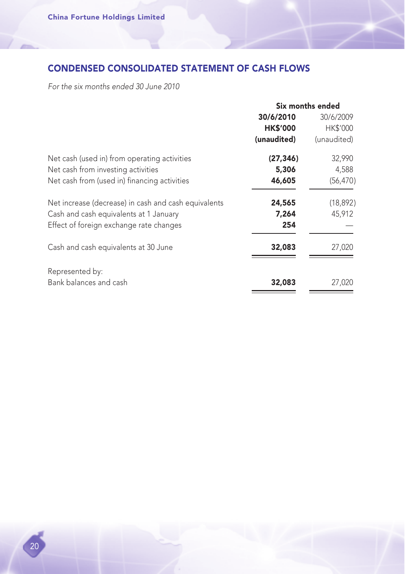# CONDENSED CONSOLIDATED STATEMENT OF CASH FLOWS

For the six months ended 30 June 2010

|                                                      | Six months ended       |             |  |
|------------------------------------------------------|------------------------|-------------|--|
|                                                      | 30/6/2010<br>30/6/2009 |             |  |
|                                                      | <b>HK\$'000</b>        | HK\$'000    |  |
|                                                      | (unaudited)            | (unaudited) |  |
| Net cash (used in) from operating activities         | (27, 346)              | 32,990      |  |
| Net cash from investing activities                   | 5,306                  | 4,588       |  |
| Net cash from (used in) financing activities         | 46,605                 | (56, 470)   |  |
| Net increase (decrease) in cash and cash equivalents | 24,565                 | (18, 892)   |  |
| Cash and cash equivalents at 1 January               | 7,264                  | 45,912      |  |
| Effect of foreign exchange rate changes              | 254                    |             |  |
| Cash and cash equivalents at 30 June                 | 32,083                 | 27,020      |  |
| Represented by:                                      |                        |             |  |
| Bank balances and cash                               | 32,083                 | 27,020      |  |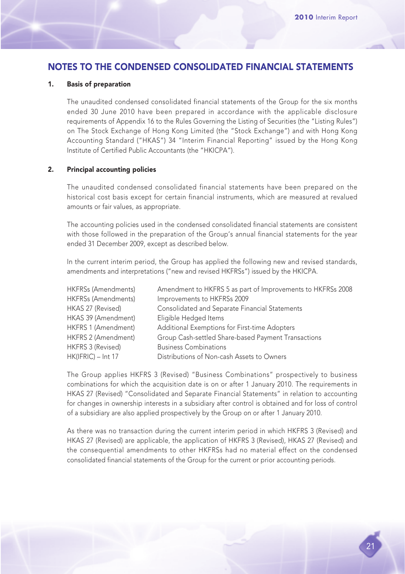# NOTES TO THE CONDENSED CONSOLIDATED FINANCIAL STATEMENTS

#### 1. Basis of preparation

The unaudited condensed consolidated financial statements of the Group for the six months ended 30 June 2010 have been prepared in accordance with the applicable disclosure requirements of Appendix 16 to the Rules Governing the Listing of Securities (the "Listing Rules") on The Stock Exchange of Hong Kong Limited (the "Stock Exchange") and with Hong Kong Accounting Standard ("HKAS") 34 "Interim Financial Reporting" issued by the Hong Kong Institute of Certified Public Accountants (the "HKICPA").

#### 2. Principal accounting policies

The unaudited condensed consolidated financial statements have been prepared on the historical cost basis except for certain financial instruments, which are measured at revalued amounts or fair values, as appropriate.

The accounting policies used in the condensed consolidated financial statements are consistent with those followed in the preparation of the Group's annual financial statements for the year ended 31 December 2009, except as described below.

In the current interim period, the Group has applied the following new and revised standards, amendments and interpretations ("new and revised HKFRSs") issued by the HKICPA.

| HKFRSs (Amendments) | Amendment to HKFRS 5 as part of Improvements to HKFRSs 2008 |
|---------------------|-------------------------------------------------------------|
| HKFRSs (Amendments) | Improvements to HKFRSs 2009                                 |
| HKAS 27 (Revised)   | Consolidated and Separate Financial Statements              |
| HKAS 39 (Amendment) | Eligible Hedged Items                                       |
| HKFRS 1 (Amendment) | Additional Exemptions for First-time Adopters               |
| HKFRS 2 (Amendment) | Group Cash-settled Share-based Payment Transactions         |
| HKFRS 3 (Revised)   | <b>Business Combinations</b>                                |
| HK(IFRIC) - Int 17  | Distributions of Non-cash Assets to Owners                  |

The Group applies HKFRS 3 (Revised) "Business Combinations" prospectively to business combinations for which the acquisition date is on or after 1 January 2010. The requirements in HKAS 27 (Revised) "Consolidated and Separate Financial Statements" in relation to accounting for changes in ownership interests in a subsidiary after control is obtained and for loss of control of a subsidiary are also applied prospectively by the Group on or after 1 January 2010.

As there was no transaction during the current interim period in which HKFRS 3 (Revised) and HKAS 27 (Revised) are applicable, the application of HKFRS 3 (Revised), HKAS 27 (Revised) and the consequential amendments to other HKFRSs had no material effect on the condensed consolidated financial statements of the Group for the current or prior accounting periods.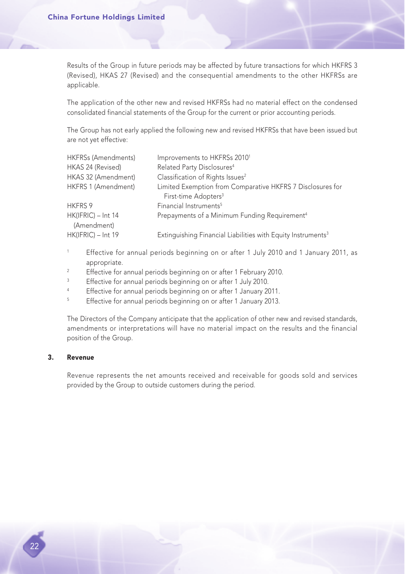Results of the Group in future periods may be affected by future transactions for which HKFRS 3 (Revised), HKAS 27 (Revised) and the consequential amendments to the other HKFRSs are applicable.

The application of the other new and revised HKFRSs had no material effect on the condensed consolidated financial statements of the Group for the current or prior accounting periods.

The Group has not early applied the following new and revised HKFRSs that have been issued but are not yet effective:

| <b>HKFRSs (Amendments)</b> | Improvements to HKFRSs 2010 <sup>1</sup>                                 |
|----------------------------|--------------------------------------------------------------------------|
| HKAS 24 (Revised)          | Related Party Disclosures <sup>4</sup>                                   |
| HKAS 32 (Amendment)        | Classification of Rights Issues <sup>2</sup>                             |
| HKFRS 1 (Amendment)        | Limited Exemption from Comparative HKFRS 7 Disclosures for               |
|                            | First-time Adopters <sup>3</sup>                                         |
| HKFRS 9                    | Financial Instruments <sup>5</sup>                                       |
| $HK(IFRIC) - Int 14$       | Prepayments of a Minimum Funding Requirement <sup>4</sup>                |
| (Amendment)                |                                                                          |
| HK(IFRIC) - Int 19         | Extinguishing Financial Liabilities with Equity Instruments <sup>3</sup> |

- <sup>1</sup> Effective for annual periods beginning on or after 1 July 2010 and 1 January 2011, as appropriate.
- <sup>2</sup> Effective for annual periods beginning on or after 1 February 2010.
- <sup>3</sup> Effective for annual periods beginning on or after 1 July 2010.
- <sup>4</sup> Effective for annual periods beginning on or after 1 January 2011.
- <sup>5</sup> Effective for annual periods beginning on or after 1 January 2013.

The Directors of the Company anticipate that the application of other new and revised standards, amendments or interpretations will have no material impact on the results and the financial position of the Group.

#### 3. Revenue

Revenue represents the net amounts received and receivable for goods sold and services provided by the Group to outside customers during the period.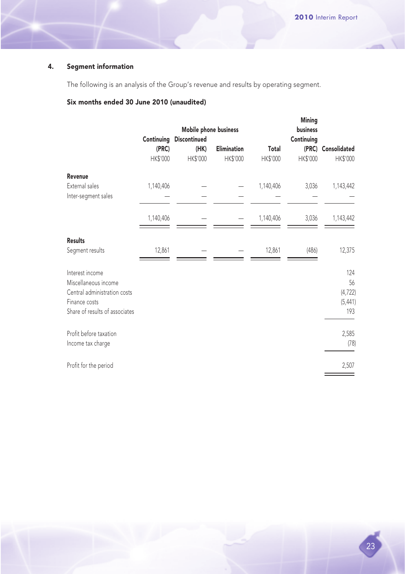#### 4. Segment information

The following is an analysis of the Group's revenue and results by operating segment.

#### Six months ended 30 June 2010 (unaudited)

|                                |            | Mobile phone business |             |           | Mining<br>business |              |
|--------------------------------|------------|-----------------------|-------------|-----------|--------------------|--------------|
|                                | Continuing | Discontinued          |             |           | Continuing         |              |
|                                | (PRC)      | (HK)                  | Elimination | Total     | (PRC)              | Consolidated |
|                                | HK\$'000   | HK\$'000              | HK\$'000    | HK\$'000  | HK\$'000           | HK\$'000     |
| Revenue                        |            |                       |             |           |                    |              |
| External sales                 | 1,140,406  |                       |             | 1,140,406 | 3,036              | 1,143,442    |
| Inter-segment sales            |            |                       |             |           |                    |              |
|                                | 1,140,406  |                       |             | 1,140,406 | 3,036              | 1,143,442    |
| <b>Results</b>                 |            |                       |             |           |                    |              |
| Segment results                | 12,861     |                       |             | 12,861    | (486)              | 12,375       |
| Interest income                |            |                       |             |           |                    | 124          |
| Miscellaneous income           |            |                       |             |           |                    | 56           |
| Central administration costs   |            |                       |             |           |                    | (4, 722)     |
| Finance costs                  |            |                       |             |           |                    | (5, 441)     |
| Share of results of associates |            |                       |             |           |                    | 193          |
| Profit before taxation         |            |                       |             |           |                    | 2,585        |
| Income tax charge              |            |                       |             |           |                    | (78)         |
| Profit for the period          |            |                       |             |           |                    | 2,507        |
|                                |            |                       |             |           |                    |              |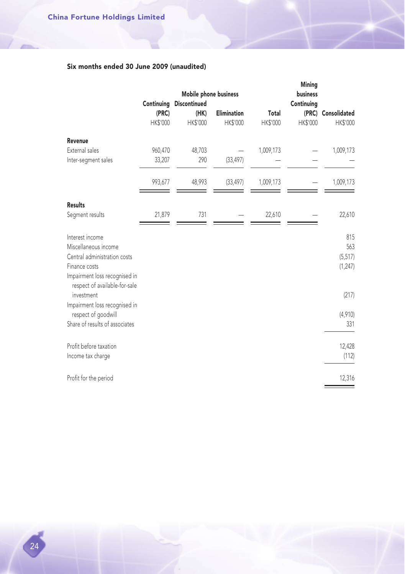### Six months ended 30 June 2009 (unaudited)

|                 |                 |                    |                       | Mining          |                        |
|-----------------|-----------------|--------------------|-----------------------|-----------------|------------------------|
|                 |                 |                    |                       |                 |                        |
| (PRC)           | (HK)            | <b>Elimination</b> | Total                 |                 | (PRC) Consolidated     |
| <b>HK\$'000</b> | <b>HK\$'000</b> | HK\$'000           | HK\$'000              | <b>HK\$'000</b> | HK\$'000               |
|                 |                 |                    |                       |                 |                        |
| 960,470         | 48,703          |                    | 1,009,173             |                 | 1,009,173              |
| 33,207          | 290             | (33, 497)          |                       |                 |                        |
| 993,677         | 48,993          | (33, 497)          | 1,009,173             |                 | 1,009,173              |
|                 |                 |                    |                       |                 |                        |
| 21,879          | 731             |                    | 22,610                |                 | 22,610                 |
|                 |                 |                    |                       |                 | 815                    |
|                 |                 |                    |                       |                 | 563                    |
|                 |                 |                    |                       |                 | (5, 517)               |
|                 |                 |                    |                       |                 | (1, 247)               |
|                 |                 |                    |                       |                 |                        |
|                 |                 |                    |                       |                 | (217)                  |
|                 |                 |                    |                       |                 | (4,910)                |
|                 |                 |                    |                       |                 | 331                    |
|                 |                 |                    |                       |                 | 12,428                 |
|                 |                 |                    |                       |                 | (112)                  |
|                 |                 |                    |                       |                 | 12,316                 |
|                 | Continuing      | Discontinued       | Mobile phone business |                 | business<br>Continuing |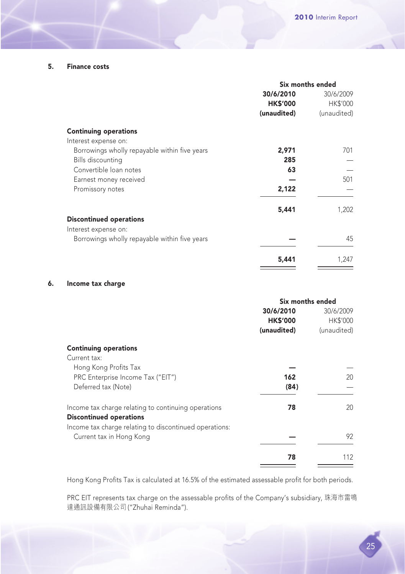#### 5. Finance costs

|                                               |                 | Six months ended |
|-----------------------------------------------|-----------------|------------------|
|                                               | 30/6/2010       | 30/6/2009        |
|                                               | <b>HK\$'000</b> | HK\$'000         |
|                                               | (unaudited)     | (unaudited)      |
| <b>Continuing operations</b>                  |                 |                  |
| Interest expense on:                          |                 |                  |
| Borrowings wholly repayable within five years | 2,971           | 701              |
| <b>Bills discounting</b>                      | 285             |                  |
| Convertible Ioan notes                        | 63              |                  |
| Earnest money received                        |                 | 501              |
| Promissory notes                              | 2,122           |                  |
|                                               | 5,441           | 1,202            |
| <b>Discontinued operations</b>                |                 |                  |
| Interest expense on:                          |                 |                  |
| Borrowings wholly repayable within five years |                 | 45               |
|                                               | 5,441           | 1,247            |

#### 6. Income tax charge

|                                                        | Six months ended |                 |
|--------------------------------------------------------|------------------|-----------------|
|                                                        | 30/6/2010        | 30/6/2009       |
|                                                        | <b>HK\$'000</b>  | <b>HK\$'000</b> |
|                                                        | (unaudited)      | (unaudited)     |
| <b>Continuing operations</b>                           |                  |                 |
| Current tax:                                           |                  |                 |
| Hong Kong Profits Tax                                  |                  |                 |
| PRC Enterprise Income Tax ("EIT")                      | 162              | 20              |
| Deferred tax (Note)                                    | (84)             |                 |
| Income tax charge relating to continuing operations    | 78               | 20              |
| <b>Discontinued operations</b>                         |                  |                 |
| Income tax charge relating to discontinued operations: |                  |                 |
| Current tax in Hong Kong                               |                  | 92              |
|                                                        | 78               | 112             |

Hong Kong Profits Tax is calculated at 16.5% of the estimated assessable profit for both periods.

PRC EIT represents tax charge on the assessable profits of the Company's subsidiary, 珠海市雷鳴 達通訊設備有限公司 ("Zhuhai Reminda").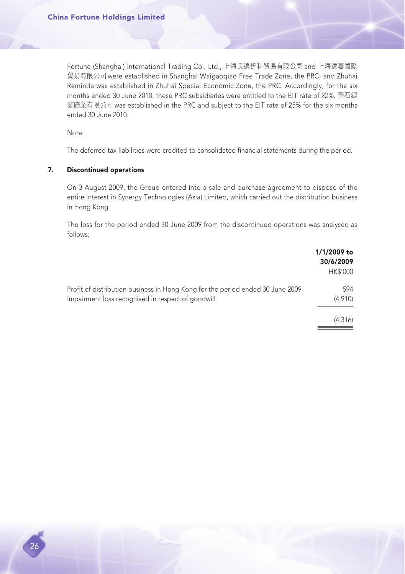Fortune (Shanghai) International Trading Co., Ltd., 上海長遠忻科貿易有限公司 and 上海遠嘉國際 貿易有限公司 were established in Shanghai Waigaoqiao Free Trade Zone, the PRC; and Zhuhai Reminda was established in Zhuhai Special Economic Zone, the PRC. Accordingly, for the six months ended 30 June 2010, these PRC subsidiaries were entitled to the EIT rate of 22%. 黃石鍶 發礦業有限公司 was established in the PRC and subject to the EIT rate of 25% for the six months ended 30 June 2010.

Note:

The deferred tax liabilities were credited to consolidated financial statements during the period.

#### 7. Discontinued operations

On 3 August 2009, the Group entered into a sale and purchase agreement to dispose of the entire interest in Synergy Technologies (Asia) Limited, which carried out the distribution business in Hong Kong.

The loss for the period ended 30 June 2009 from the discontinued operations was analysed as follows:

|                                                                                                                                     | 1/1/2009 to<br>30/6/2009<br><b>HK\$'000</b> |
|-------------------------------------------------------------------------------------------------------------------------------------|---------------------------------------------|
| Profit of distribution business in Hong Kong for the period ended 30 June 2009<br>Impairment loss recognised in respect of goodwill | 594<br>(4.910)                              |
|                                                                                                                                     | (4.316)                                     |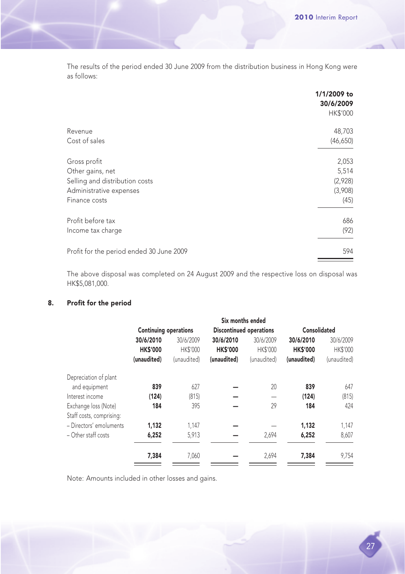The results of the period ended 30 June 2009 from the distribution business in Hong Kong were as follows:

|                                          | 1/1/2009 to<br>30/6/2009<br>HK\$'000 |
|------------------------------------------|--------------------------------------|
| Revenue                                  | 48,703                               |
| Cost of sales                            | (46,650)                             |
| Gross profit                             | 2,053                                |
| Other gains, net                         | 5,514                                |
| Selling and distribution costs           | (2,928)                              |
| Administrative expenses                  | (3,908)                              |
| Finance costs                            | (45)                                 |
| Profit before tax                        | 686                                  |
| Income tax charge                        | (92)                                 |
| Profit for the period ended 30 June 2009 | 594                                  |

The above disposal was completed on 24 August 2009 and the respective loss on disposal was HK\$5,081,000.

#### 8. Profit for the period

| <b>Continuing operations</b> |                 |                 |             |                                                                | Consolidated |  |
|------------------------------|-----------------|-----------------|-------------|----------------------------------------------------------------|--------------|--|
| 30/6/2010                    | 30/6/2009       | 30/6/2010       | 30/6/2009   | 30/6/2010                                                      | 30/6/2009    |  |
| <b>HK\$'000</b>              | <b>HK\$'000</b> | <b>HK\$'000</b> |             | <b>HK\$'000</b>                                                | HK\$'000     |  |
| (unaudited)                  | (unaudited)     | (unaudited)     | (unaudited) | (unaudited)                                                    | (unaudited)  |  |
|                              |                 |                 |             |                                                                |              |  |
| 839                          | 627             |                 | 20          | 839                                                            | 647          |  |
| (124)                        | (815)           |                 |             | (124)                                                          | (815)        |  |
| 184                          | 395             |                 | 29          | 184                                                            | 424          |  |
|                              |                 |                 |             |                                                                |              |  |
| 1,132                        | 1.147           |                 |             | 1,132                                                          | 1,147        |  |
| 6,252                        | 5,913           |                 | 2,694       | 6,252                                                          | 8,607        |  |
| 7,384                        | 7,060           |                 | 2,694       | 7,384                                                          | 9,754        |  |
|                              |                 |                 |             | Six months ended<br><b>Discontinued operations</b><br>HK\$'000 |              |  |

Note: Amounts included in other losses and gains.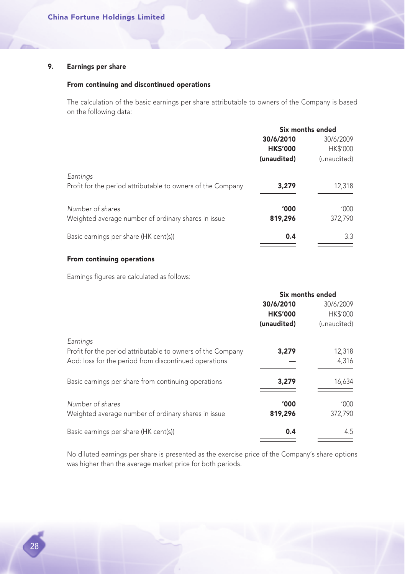#### 9. Earnings per share

#### From continuing and discontinued operations

The calculation of the basic earnings per share attributable to owners of the Company is based on the following data:

|                                                                         |                 | Six months ended |
|-------------------------------------------------------------------------|-----------------|------------------|
|                                                                         | 30/6/2010       | 30/6/2009        |
|                                                                         | <b>HK\$'000</b> | <b>HK\$'000</b>  |
|                                                                         | (unaudited)     | (unaudited)      |
| Earnings<br>Profit for the period attributable to owners of the Company | 3,279           | 12,318           |
| Number of shares                                                        | '000            | '000'            |
| Weighted average number of ordinary shares in issue                     | 819,296         | 372,790          |
| Basic earnings per share (HK cent(s))                                   | 0.4             | 3.3              |

#### From continuing operations

Earnings figures are calculated as follows:

|                                                             |                 | Six months ended |
|-------------------------------------------------------------|-----------------|------------------|
|                                                             | 30/6/2010       | 30/6/2009        |
|                                                             | <b>HK\$'000</b> | <b>HK\$'000</b>  |
|                                                             | (unaudited)     | (unaudited)      |
| Earnings                                                    |                 |                  |
| Profit for the period attributable to owners of the Company | 3,279           | 12,318           |
| Add: loss for the period from discontinued operations       |                 | 4,316            |
| Basic earnings per share from continuing operations         | 3,279           | 16,634           |
| Number of shares                                            | '000'           | '000'            |
| Weighted average number of ordinary shares in issue         | 819,296         | 372,790          |
| Basic earnings per share (HK cent(s))                       | 0.4             | 4.5              |

No diluted earnings per share is presented as the exercise price of the Company's share options was higher than the average market price for both periods.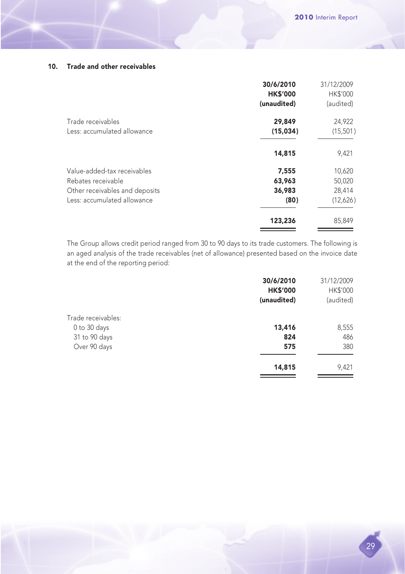#### 10. Trade and other receivables

|                                | 30/6/2010<br><b>HK\$'000</b> | 31/12/2009<br><b>HK\$'000</b> |
|--------------------------------|------------------------------|-------------------------------|
|                                | (unaudited)                  | (audited)                     |
| Trade receivables              | 29,849                       | 24,922                        |
| Less: accumulated allowance    | (15,034)                     | (15,501)                      |
|                                | 14,815                       | 9,421                         |
| Value-added-tax receivables    | 7,555                        | 10,620                        |
| Rebates receivable             | 63,963                       | 50,020                        |
| Other receivables and deposits | 36,983                       | 28,414                        |
| Less: accumulated allowance    | (80)                         | (12,626)                      |
|                                | 123,236                      | 85,849                        |

The Group allows credit period ranged from 30 to 90 days to its trade customers. The following is an aged analysis of the trade receivables (net of allowance) presented based on the invoice date at the end of the reporting period:

|                    | 30/6/2010       | 31/12/2009 |
|--------------------|-----------------|------------|
|                    | <b>HK\$'000</b> | HK\$'000   |
|                    | (unaudited)     | (audited)  |
| Trade receivables: |                 |            |
| 0 to 30 days       | 13,416          | 8,555      |
| 31 to 90 days      | 824             | 486        |
| Over 90 days       | 575             | 380        |
|                    | 14,815          | 9,421      |
|                    |                 |            |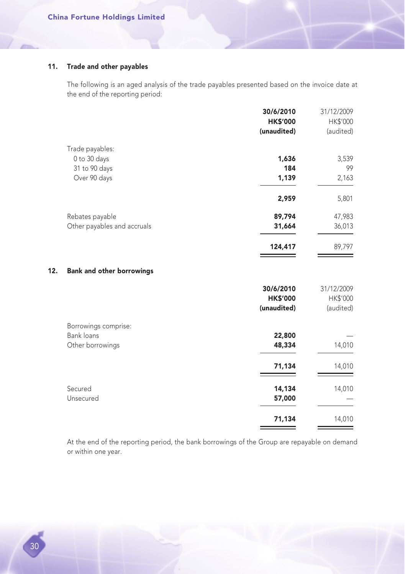#### 11. Trade and other payables

The following is an aged analysis of the trade payables presented based on the invoice date at the end of the reporting period:

|     |                                  | 30/6/2010       | 31/12/2009 |
|-----|----------------------------------|-----------------|------------|
|     |                                  | <b>HK\$'000</b> | HK\$'000   |
|     |                                  | (unaudited)     | (audited)  |
|     | Trade payables:                  |                 |            |
|     | 0 to 30 days                     | 1,636           | 3,539      |
|     | 31 to 90 days                    | 184             | 99         |
|     | Over 90 days                     | 1,139           | 2,163      |
|     |                                  | 2,959           | 5,801      |
|     | Rebates payable                  | 89,794          | 47,983     |
|     | Other payables and accruals      | 31,664          | 36,013     |
|     |                                  | 124,417         | 89,797     |
| 12. | <b>Bank and other borrowings</b> |                 |            |
|     |                                  | 30/6/2010       | 31/12/2009 |
|     |                                  | <b>HK\$'000</b> | HK\$'000   |
|     |                                  | (unaudited)     | (audited)  |
|     | Borrowings comprise:             |                 |            |
|     | Bank loans                       | 22,800          |            |
|     | Other borrowings                 | 48,334          | 14,010     |
|     |                                  | 71,134          | 14,010     |
|     | Secured                          | 14,134          | 14,010     |
|     | Unsecured                        | 57,000          |            |
|     |                                  | 71,134          | 14,010     |

At the end of the reporting period, the bank borrowings of the Group are repayable on demand or within one year.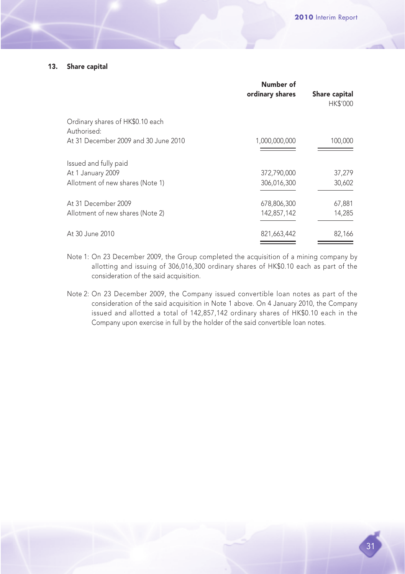#### 13. Share capital

|                                                 | Number of<br>ordinary shares | Share capital<br><b>HK\$'000</b> |
|-------------------------------------------------|------------------------------|----------------------------------|
| Ordinary shares of HK\$0.10 each<br>Authorised: |                              |                                  |
| At 31 December 2009 and 30 June 2010            | 1,000,000,000                | 100,000                          |
| Issued and fully paid                           |                              |                                  |
| At 1 January 2009                               | 372.790.000                  | 37,279                           |
| Allotment of new shares (Note 1)                | 306,016,300                  | 30,602                           |
| At 31 December 2009                             | 678,806,300                  | 67,881                           |
| Allotment of new shares (Note 2)                | 142,857,142                  | 14,285                           |
| At 30 June 2010                                 | 821,663,442                  | 82,166                           |

- Note 1: On 23 December 2009, the Group completed the acquisition of a mining company by allotting and issuing of 306,016,300 ordinary shares of HK\$0.10 each as part of the consideration of the said acquisition.
- Note 2: On 23 December 2009, the Company issued convertible loan notes as part of the consideration of the said acquisition in Note 1 above. On 4 January 2010, the Company issued and allotted a total of 142,857,142 ordinary shares of HK\$0.10 each in the Company upon exercise in full by the holder of the said convertible loan notes.